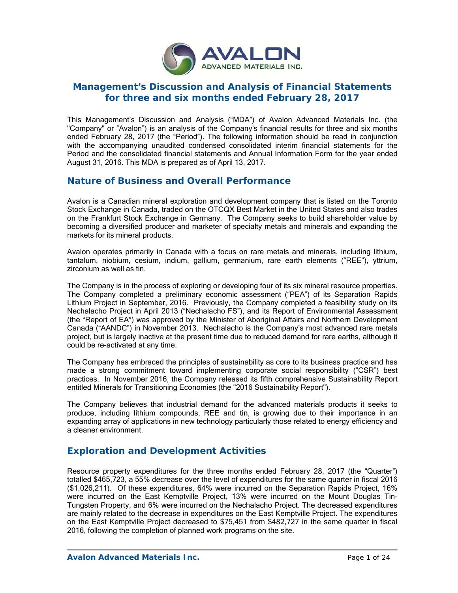

# **Management's Discussion and Analysis of Financial Statements for three and six months ended February 28, 2017**

This Management's Discussion and Analysis ("MDA") of Avalon Advanced Materials Inc. (the "Company" or "Avalon") is an analysis of the Company's financial results for three and six months ended February 28, 2017 (the "Period"). The following information should be read in conjunction with the accompanying unaudited condensed consolidated interim financial statements for the Period and the consolidated financial statements and Annual Information Form for the year ended August 31, 2016. This MDA is prepared as of April 13, 2017.

# **Nature of Business and Overall Performance**

Avalon is a Canadian mineral exploration and development company that is listed on the Toronto Stock Exchange in Canada, traded on the OTCQX Best Market in the United States and also trades on the Frankfurt Stock Exchange in Germany. The Company seeks to build shareholder value by becoming a diversified producer and marketer of specialty metals and minerals and expanding the markets for its mineral products.

Avalon operates primarily in Canada with a focus on rare metals and minerals, including lithium, tantalum, niobium, cesium, indium, gallium, germanium, rare earth elements ("REE"), yttrium, zirconium as well as tin.

The Company is in the process of exploring or developing four of its six mineral resource properties. The Company completed a preliminary economic assessment ("PEA") of its Separation Rapids Lithium Project in September, 2016. Previously, the Company completed a feasibility study on its Nechalacho Project in April 2013 ("Nechalacho FS"), and its Report of Environmental Assessment (the "Report of EA") was approved by the Minister of Aboriginal Affairs and Northern Development Canada ("AANDC") in November 2013. Nechalacho is the Company's most advanced rare metals project, but is largely inactive at the present time due to reduced demand for rare earths, although it could be re-activated at any time.

The Company has embraced the principles of sustainability as core to its business practice and has made a strong commitment toward implementing corporate social responsibility ("CSR") best practices. In November 2016, the Company released its fifth comprehensive Sustainability Report entitled Minerals for Transitioning Economies (the "2016 Sustainability Report").

The Company believes that industrial demand for the advanced materials products it seeks to produce, including lithium compounds, REE and tin, is growing due to their importance in an expanding array of applications in new technology particularly those related to energy efficiency and a cleaner environment.

# **Exploration and Development Activities**

Resource property expenditures for the three months ended February 28, 2017 (the "Quarter") totalled \$465,723, a 55% decrease over the level of expenditures for the same quarter in fiscal 2016 (\$1,026,211). Of these expenditures, 64% were incurred on the Separation Rapids Project, 16% were incurred on the East Kemptville Project, 13% were incurred on the Mount Douglas Tin-Tungsten Property, and 6% were incurred on the Nechalacho Project. The decreased expenditures are mainly related to the decrease in expenditures on the East Kemptville Project. The expenditures on the East Kemptville Project decreased to \$75,451 from \$482,727 in the same quarter in fiscal 2016, following the completion of planned work programs on the site.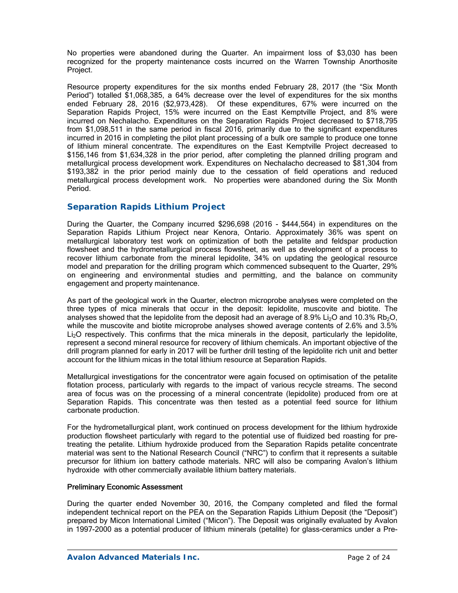No properties were abandoned during the Quarter. An impairment loss of \$3,030 has been recognized for the property maintenance costs incurred on the Warren Township Anorthosite Project.

Resource property expenditures for the six months ended February 28, 2017 (the "Six Month Period") totalled \$1,068,385, a 64% decrease over the level of expenditures for the six months ended February 28, 2016 (\$2,973,428). Of these expenditures, 67% were incurred on the Separation Rapids Project, 15% were incurred on the East Kemptville Project, and 8% were incurred on Nechalacho. Expenditures on the Separation Rapids Project decreased to \$718,795 from \$1,098,511 in the same period in fiscal 2016, primarily due to the significant expenditures incurred in 2016 in completing the pilot plant processing of a bulk ore sample to produce one tonne of lithium mineral concentrate. The expenditures on the East Kemptville Project decreased to \$156,146 from \$1,634,328 in the prior period, after completing the planned drilling program and metallurgical process development work. Expenditures on Nechalacho decreased to \$81,304 from \$193,382 in the prior period mainly due to the cessation of field operations and reduced metallurgical process development work. No properties were abandoned during the Six Month Period.

## *Separation Rapids Lithium Project*

During the Quarter, the Company incurred \$296,698 (2016 - \$444,564) in expenditures on the Separation Rapids Lithium Project near Kenora, Ontario. Approximately 36% was spent on metallurgical laboratory test work on optimization of both the petalite and feldspar production flowsheet and the hydrometallurgical process flowsheet, as well as development of a process to recover lithium carbonate from the mineral lepidolite, 34% on updating the geological resource model and preparation for the drilling program which commenced subsequent to the Quarter, 29% on engineering and environmental studies and permitting, and the balance on community engagement and property maintenance.

As part of the geological work in the Quarter, electron microprobe analyses were completed on the three types of mica minerals that occur in the deposit: lepidolite, muscovite and biotite. The analyses showed that the lepidolite from the deposit had an average of 8.9% Li<sub>2</sub>O and 10.3% Rb<sub>2</sub>O, while the muscovite and biotite microprobe analyses showed average contents of 2.6% and 3.5% Li<sub>2</sub>O respectively. This confirms that the mica minerals in the deposit, particularly the lepidolite, represent a second mineral resource for recovery of lithium chemicals. An important objective of the drill program planned for early in 2017 will be further drill testing of the lepidolite rich unit and better account for the lithium micas in the total lithium resource at Separation Rapids.

Metallurgical investigations for the concentrator were again focused on optimisation of the petalite flotation process, particularly with regards to the impact of various recycle streams. The second area of focus was on the processing of a mineral concentrate (lepidolite) produced from ore at Separation Rapids. This concentrate was then tested as a potential feed source for lithium carbonate production.

For the hydrometallurgical plant, work continued on process development for the lithium hydroxide production flowsheet particularly with regard to the potential use of fluidized bed roasting for pretreating the petalite. Lithium hydroxide produced from the Separation Rapids petalite concentrate material was sent to the National Research Council ("NRC") to confirm that it represents a suitable precursor for lithium ion battery cathode materials. NRC will also be comparing Avalon's lithium hydroxide with other commercially available lithium battery materials.

### Preliminary Economic Assessment

During the quarter ended November 30, 2016, the Company completed and filed the formal independent technical report on the PEA on the Separation Rapids Lithium Deposit (the "Deposit") prepared by Micon International Limited ("Micon"). The Deposit was originally evaluated by Avalon in 1997-2000 as a potential producer of lithium minerals (petalite) for glass-ceramics under a Pre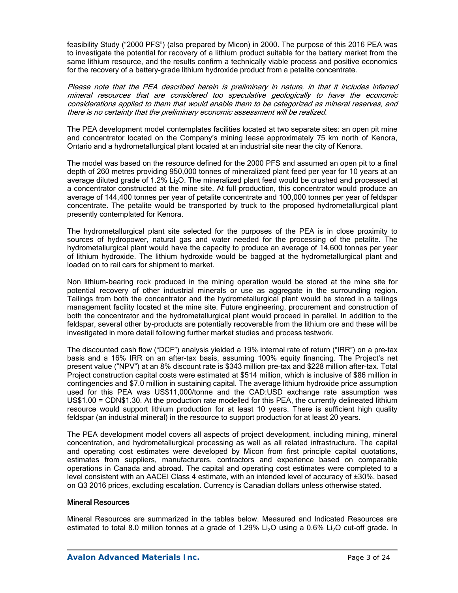feasibility Study ("2000 PFS") (also prepared by Micon) in 2000. The purpose of this 2016 PEA was to investigate the potential for recovery of a lithium product suitable for the battery market from the same lithium resource, and the results confirm a technically viable process and positive economics for the recovery of a battery-grade lithium hydroxide product from a petalite concentrate.

Please note that the PEA described herein is preliminary in nature, in that it includes inferred mineral resources that are considered too speculative geologically to have the economic considerations applied to them that would enable them to be categorized as mineral reserves, and there is no certainty that the preliminary economic assessment will be realized.

The PEA development model contemplates facilities located at two separate sites: an open pit mine and concentrator located on the Company's mining lease approximately 75 km north of Kenora, Ontario and a hydrometallurgical plant located at an industrial site near the city of Kenora.

The model was based on the resource defined for the 2000 PFS and assumed an open pit to a final depth of 260 metres providing 950,000 tonnes of mineralized plant feed per year for 10 years at an average diluted grade of 1.2%  $Li<sub>2</sub>O$ . The mineralized plant feed would be crushed and processed at a concentrator constructed at the mine site. At full production, this concentrator would produce an average of 144,400 tonnes per year of petalite concentrate and 100,000 tonnes per year of feldspar concentrate. The petalite would be transported by truck to the proposed hydrometallurgical plant presently contemplated for Kenora.

The hydrometallurgical plant site selected for the purposes of the PEA is in close proximity to sources of hydropower, natural gas and water needed for the processing of the petalite. The hydrometallurgical plant would have the capacity to produce an average of 14,600 tonnes per year of lithium hydroxide. The lithium hydroxide would be bagged at the hydrometallurgical plant and loaded on to rail cars for shipment to market.

Non lithium-bearing rock produced in the mining operation would be stored at the mine site for potential recovery of other industrial minerals or use as aggregate in the surrounding region. Tailings from both the concentrator and the hydrometallurgical plant would be stored in a tailings management facility located at the mine site. Future engineering, procurement and construction of both the concentrator and the hydrometallurgical plant would proceed in parallel. In addition to the feldspar, several other by-products are potentially recoverable from the lithium ore and these will be investigated in more detail following further market studies and process testwork.

The discounted cash flow ("DCF") analysis yielded a 19% internal rate of return ("IRR") on a pre-tax basis and a 16% IRR on an after-tax basis, assuming 100% equity financing. The Project's net present value ("NPV") at an 8% discount rate is \$343 million pre-tax and \$228 million after-tax. Total Project construction capital costs were estimated at \$514 million, which is inclusive of \$86 million in contingencies and \$7.0 million in sustaining capital. The average lithium hydroxide price assumption used for this PEA was US\$11,000/tonne and the CAD:USD exchange rate assumption was US\$1.00 = CDN\$1.30. At the production rate modelled for this PEA, the currently delineated lithium resource would support lithium production for at least 10 years. There is sufficient high quality feldspar (an industrial mineral) in the resource to support production for at least 20 years.

The PEA development model covers all aspects of project development, including mining, mineral concentration, and hydrometallurgical processing as well as all related infrastructure. The capital and operating cost estimates were developed by Micon from first principle capital quotations, estimates from suppliers, manufacturers, contractors and experience based on comparable operations in Canada and abroad. The capital and operating cost estimates were completed to a level consistent with an AACEI Class 4 estimate, with an intended level of accuracy of ±30%, based on Q3 2016 prices, excluding escalation. Currency is Canadian dollars unless otherwise stated.

### Mineral Resources

Mineral Resources are summarized in the tables below. Measured and Indicated Resources are estimated to total 8.0 million tonnes at a grade of 1.29% Li<sub>2</sub>O using a 0.6% Li<sub>2</sub>O cut-off grade. In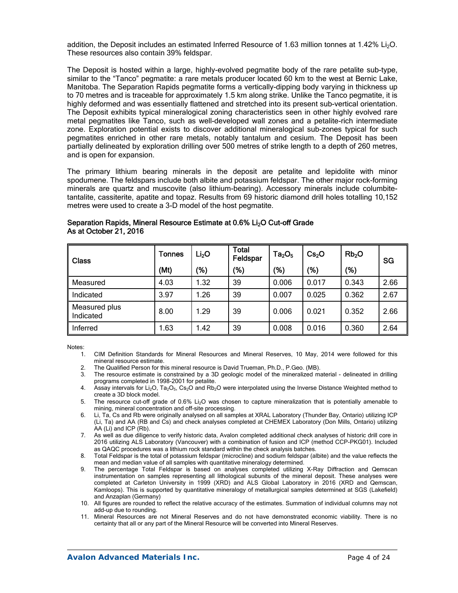addition, the Deposit includes an estimated Inferred Resource of 1.63 million tonnes at 1.42% Li<sub>2</sub>O. These resources also contain 39% feldspar.

The Deposit is hosted within a large, highly-evolved pegmatite body of the rare petalite sub-type, similar to the "Tanco" pegmatite: a rare metals producer located 60 km to the west at Bernic Lake, Manitoba. The Separation Rapids pegmatite forms a vertically-dipping body varying in thickness up to 70 metres and is traceable for approximately 1.5 km along strike. Unlike the Tanco pegmatite, it is highly deformed and was essentially flattened and stretched into its present sub-vertical orientation. The Deposit exhibits typical mineralogical zoning characteristics seen in other highly evolved rare metal pegmatites like Tanco, such as well-developed wall zones and a petalite-rich intermediate zone. Exploration potential exists to discover additional mineralogical sub-zones typical for such pegmatites enriched in other rare metals, notably tantalum and cesium. The Deposit has been partially delineated by exploration drilling over 500 metres of strike length to a depth of 260 metres, and is open for expansion.

The primary lithium bearing minerals in the deposit are petalite and lepidolite with minor spodumene. The feldspars include both albite and potassium feldspar. The other major rock-forming minerals are quartz and muscovite (also lithium-bearing). Accessory minerals include columbitetantalite, cassiterite, apatite and topaz. Results from 69 historic diamond drill holes totalling 10,152 metres were used to create a 3-D model of the host pegmatite.

| <b>Class</b>               | <b>Tonnes</b> | Li <sub>2</sub> O | <b>Total</b><br>Feldspar | $Ta_2O_5$ | Cs <sub>2</sub> O | Rb <sub>2</sub> O | SG   |  |
|----------------------------|---------------|-------------------|--------------------------|-----------|-------------------|-------------------|------|--|
|                            | (Mt)          | '%)               | '%)                      | (%)       | (%)               | (%)               |      |  |
| Measured                   | 4.03          | 1.32              | 39                       | 0.006     | 0.017             | 0.343             | 2.66 |  |
| Indicated                  | 3.97          | .26               | 39                       | 0.007     | 0.025             | 0.362             | 2.67 |  |
| Measured plus<br>Indicated | 8.00          | 1.29              | 39                       | 0.006     | 0.021             | 0.352             | 2.66 |  |
| Inferred                   | .63           | 1.42              | 39                       | 0.008     | 0.016             | 0.360             | 2.64 |  |

### Separation Rapids, Mineral Resource Estimate at 0.6% Li<sub>2</sub>O Cut-off Grade As at October 21, 2016

Notes:

- 1. CIM Definition Standards for Mineral Resources and Mineral Reserves, 10 May, 2014 were followed for this mineral resource estimate.
- 2. The Qualified Person for this mineral resource is David Trueman, Ph.D., P.Geo. (MB).
- 3. The resource estimate is constrained by a 3D geologic model of the mineralized material delineated in drilling programs completed in 1998-2001 for petalite.
- 4. Assay intervals for Li2O, Ta2O5, Cs2O and Rb2O were interpolated using the Inverse Distance Weighted method to create a 3D block model.
- 5. The resource cut-off grade of 0.6% Li<sub>2</sub>O was chosen to capture mineralization that is potentially amenable to mining, mineral concentration and off-site processing.
- 6. Li, Ta, Cs and Rb were originally analysed on all samples at XRAL Laboratory (Thunder Bay, Ontario) utilizing ICP (Li, Ta) and AA (RB and Cs) and check analyses completed at CHEMEX Laboratory (Don Mills, Ontario) utilizing AA (Li) and ICP (Rb).
- 7. As well as due diligence to verify historic data, Avalon completed additional check analyses of historic drill core in 2016 utilizing ALS Laboratory (Vancouver) with a combination of fusion and ICP (method CCP-PKG01). Included as QAQC procedures was a lithium rock standard within the check analysis batches.
- 8. Total Feldspar is the total of potassium feldspar (microcline) and sodium feldspar (albite) and the value reflects the mean and median value of all samples with quantitative mineralogy determined.
- 9. The percentage Total Feldspar is based on analyses completed utilizing X-Ray Diffraction and Qemscan instrumentation on samples representing all lithological subunits of the mineral deposit. These analyses were completed at Carleton University in 1999 (XRD) and ALS Global Laboratory in 2016 (XRD and Qemscan, Kamloops). This is supported by quantitative mineralogy of metallurgical samples determined at SGS (Lakefield) and Anzaplan (Germany)
- 10. All figures are rounded to reflect the relative accuracy of the estimates. Summation of individual columns may not add-up due to rounding.
- 11. Mineral Resources are not Mineral Reserves and do not have demonstrated economic viability. There is no certainty that all or any part of the Mineral Resource will be converted into Mineral Reserves.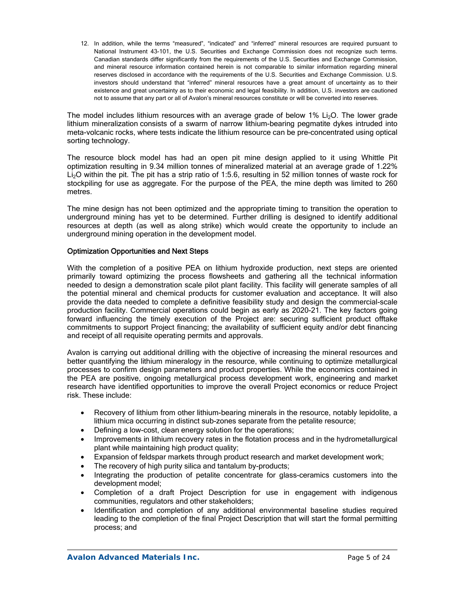12. In addition, while the terms "measured", "indicated" and "inferred" mineral resources are required pursuant to National Instrument 43-101, the U.S. Securities and Exchange Commission does not recognize such terms. Canadian standards differ significantly from the requirements of the U.S. Securities and Exchange Commission, and mineral resource information contained herein is not comparable to similar information regarding mineral reserves disclosed in accordance with the requirements of the U.S. Securities and Exchange Commission. U.S. investors should understand that "inferred" mineral resources have a great amount of uncertainty as to their existence and great uncertainty as to their economic and legal feasibility. In addition, U.S. investors are cautioned not to assume that any part or all of Avalon's mineral resources constitute or will be converted into reserves.

The model includes lithium resources with an average grade of below 1% Li<sub>2</sub>O. The lower grade lithium mineralization consists of a swarm of narrow lithium-bearing pegmatite dykes intruded into meta-volcanic rocks, where tests indicate the lithium resource can be pre-concentrated using optical sorting technology.

The resource block model has had an open pit mine design applied to it using Whittle Pit optimization resulting in 9.34 million tonnes of mineralized material at an average grade of 1.22% Li<sub>2</sub>O within the pit. The pit has a strip ratio of 1:5.6, resulting in 52 million tonnes of waste rock for stockpiling for use as aggregate. For the purpose of the PEA, the mine depth was limited to 260 metres.

The mine design has not been optimized and the appropriate timing to transition the operation to underground mining has yet to be determined. Further drilling is designed to identify additional resources at depth (as well as along strike) which would create the opportunity to include an underground mining operation in the development model.

### Optimization Opportunities and Next Steps

With the completion of a positive PEA on lithium hydroxide production, next steps are oriented primarily toward optimizing the process flowsheets and gathering all the technical information needed to design a demonstration scale pilot plant facility. This facility will generate samples of all the potential mineral and chemical products for customer evaluation and acceptance. It will also provide the data needed to complete a definitive feasibility study and design the commercial-scale production facility. Commercial operations could begin as early as 2020-21. The key factors going forward influencing the timely execution of the Project are: securing sufficient product offtake commitments to support Project financing; the availability of sufficient equity and/or debt financing and receipt of all requisite operating permits and approvals.

Avalon is carrying out additional drilling with the objective of increasing the mineral resources and better quantifying the lithium mineralogy in the resource, while continuing to optimize metallurgical processes to confirm design parameters and product properties. While the economics contained in the PEA are positive, ongoing metallurgical process development work, engineering and market research have identified opportunities to improve the overall Project economics or reduce Project risk. These include:

- Recovery of lithium from other lithium-bearing minerals in the resource, notably lepidolite, a lithium mica occurring in distinct sub-zones separate from the petalite resource;
- Defining a low-cost, clean energy solution for the operations;
- Improvements in lithium recovery rates in the flotation process and in the hydrometallurgical plant while maintaining high product quality;
- Expansion of feldspar markets through product research and market development work;
- The recovery of high purity silica and tantalum by-products;
- Integrating the production of petalite concentrate for glass-ceramics customers into the development model;
- Completion of a draft Project Description for use in engagement with indigenous communities, regulators and other stakeholders;
- Identification and completion of any additional environmental baseline studies required leading to the completion of the final Project Description that will start the formal permitting process; and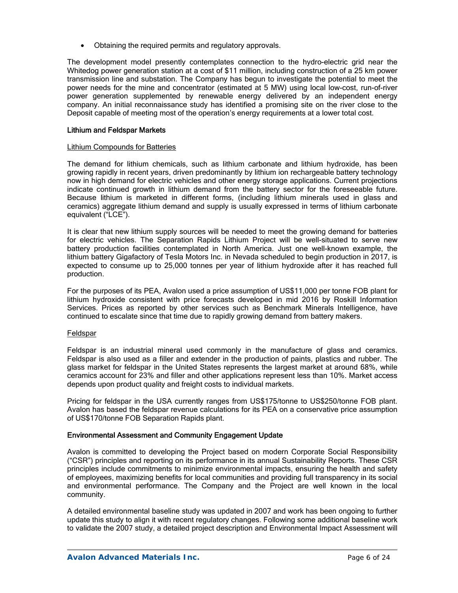• Obtaining the required permits and regulatory approvals.

The development model presently contemplates connection to the hydro-electric grid near the Whitedog power generation station at a cost of \$11 million, including construction of a 25 km power transmission line and substation. The Company has begun to investigate the potential to meet the power needs for the mine and concentrator (estimated at 5 MW) using local low-cost, run-of-river power generation supplemented by renewable energy delivered by an independent energy company. An initial reconnaissance study has identified a promising site on the river close to the Deposit capable of meeting most of the operation's energy requirements at a lower total cost.

### Lithium and Feldspar Markets

#### Lithium Compounds for Batteries

The demand for lithium chemicals, such as lithium carbonate and lithium hydroxide, has been growing rapidly in recent years, driven predominantly by lithium ion rechargeable battery technology now in high demand for electric vehicles and other energy storage applications. Current projections indicate continued growth in lithium demand from the battery sector for the foreseeable future. Because lithium is marketed in different forms, (including lithium minerals used in glass and ceramics) aggregate lithium demand and supply is usually expressed in terms of lithium carbonate equivalent ("LCE").

It is clear that new lithium supply sources will be needed to meet the growing demand for batteries for electric vehicles. The Separation Rapids Lithium Project will be well-situated to serve new battery production facilities contemplated in North America. Just one well-known example, the lithium battery Gigafactory of Tesla Motors Inc. in Nevada scheduled to begin production in 2017, is expected to consume up to 25,000 tonnes per year of lithium hydroxide after it has reached full production.

For the purposes of its PEA, Avalon used a price assumption of US\$11,000 per tonne FOB plant for lithium hydroxide consistent with price forecasts developed in mid 2016 by Roskill Information Services. Prices as reported by other services such as Benchmark Minerals Intelligence, have continued to escalate since that time due to rapidly growing demand from battery makers.

### Feldspar

Feldspar is an industrial mineral used commonly in the manufacture of glass and ceramics. Feldspar is also used as a filler and extender in the production of paints, plastics and rubber. The glass market for feldspar in the United States represents the largest market at around 68%, while ceramics account for 23% and filler and other applications represent less than 10%. Market access depends upon product quality and freight costs to individual markets.

Pricing for feldspar in the USA currently ranges from US\$175/tonne to US\$250/tonne FOB plant. Avalon has based the feldspar revenue calculations for its PEA on a conservative price assumption of US\$170/tonne FOB Separation Rapids plant.

### Environmental Assessment and Community Engagement Update

Avalon is committed to developing the Project based on modern Corporate Social Responsibility ("CSR") principles and reporting on its performance in its annual Sustainability Reports. These CSR principles include commitments to minimize environmental impacts, ensuring the health and safety of employees, maximizing benefits for local communities and providing full transparency in its social and environmental performance. The Company and the Project are well known in the local community.

A detailed environmental baseline study was updated in 2007 and work has been ongoing to further update this study to align it with recent regulatory changes. Following some additional baseline work to validate the 2007 study, a detailed project description and Environmental Impact Assessment will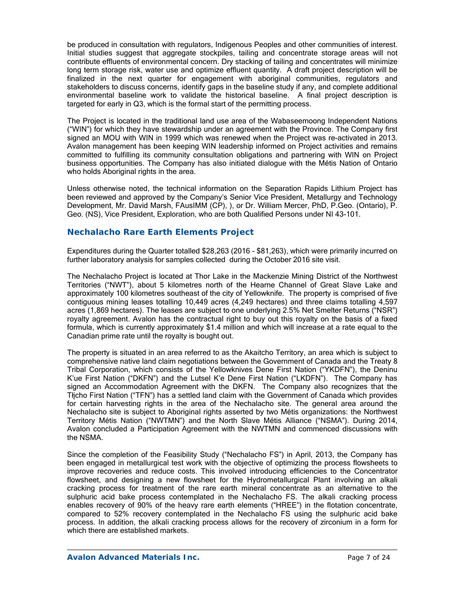be produced in consultation with regulators, Indigenous Peoples and other communities of interest. Initial studies suggest that aggregate stockpiles, tailing and concentrate storage areas will not contribute effluents of environmental concern. Dry stacking of tailing and concentrates will minimize long term storage risk, water use and optimize effluent quantity. A draft project description will be finalized in the next quarter for engagement with aboriginal communities, regulators and stakeholders to discuss concerns, identify gaps in the baseline study if any, and complete additional environmental baseline work to validate the historical baseline. A final project description is targeted for early in Q3, which is the formal start of the permitting process.

The Project is located in the traditional land use area of the Wabaseemoong Independent Nations ("WIN") for which they have stewardship under an agreement with the Province. The Company first signed an MOU with WIN in 1999 which was renewed when the Project was re-activated in 2013. Avalon management has been keeping WIN leadership informed on Project activities and remains committed to fulfilling its community consultation obligations and partnering with WIN on Project business opportunities. The Company has also initiated dialogue with the Métis Nation of Ontario who holds Aboriginal rights in the area.

Unless otherwise noted, the technical information on the Separation Rapids Lithium Project has been reviewed and approved by the Company's Senior Vice President, Metallurgy and Technology Development, Mr. David Marsh, FAusIMM (CP), ), or Dr. William Mercer, PhD, P.Geo. (Ontario), P. Geo. (NS), Vice President, Exploration, who are both Qualified Persons under NI 43-101.

## **Nechalacho Rare Earth Elements Project**

Expenditures during the Quarter totalled \$28,263 (2016 - \$81,263), which were primarily incurred on further laboratory analysis for samples collected during the October 2016 site visit.

The Nechalacho Project is located at Thor Lake in the Mackenzie Mining District of the Northwest Territories ("NWT"), about 5 kilometres north of the Hearne Channel of Great Slave Lake and approximately 100 kilometres southeast of the city of Yellowknife. The property is comprised of five contiguous mining leases totalling 10,449 acres (4,249 hectares) and three claims totalling 4,597 acres (1,869 hectares). The leases are subject to one underlying 2.5% Net Smelter Returns ("NSR") royalty agreement. Avalon has the contractual right to buy out this royalty on the basis of a fixed formula, which is currently approximately \$1.4 million and which will increase at a rate equal to the Canadian prime rate until the royalty is bought out.

The property is situated in an area referred to as the Akaitcho Territory, an area which is subject to comprehensive native land claim negotiations between the Government of Canada and the Treaty 8 Tribal Corporation, which consists of the Yellowknives Dene First Nation ("YKDFN"), the Deninu K'ue First Nation ("DKFN") and the Lutsel K'e Dene First Nation ("LKDFN"). The Company has signed an Accommodation Agreement with the DKFN. The Company also recognizes that the Tłįcho First Nation ("TFN") has a settled land claim with the Government of Canada which provides for certain harvesting rights in the area of the Nechalacho site. The general area around the Nechalacho site is subject to Aboriginal rights asserted by two Métis organizations: the Northwest Territory Métis Nation ("NWTMN") and the North Slave Métis Alliance ("NSMA"). During 2014, Avalon concluded a Participation Agreement with the NWTMN and commenced discussions with the NSMA.

Since the completion of the Feasibility Study ("Nechalacho FS") in April, 2013, the Company has been engaged in metallurgical test work with the objective of optimizing the process flowsheets to improve recoveries and reduce costs. This involved introducing efficiencies to the Concentrator flowsheet, and designing a new flowsheet for the Hydrometallurgical Plant involving an alkali cracking process for treatment of the rare earth mineral concentrate as an alternative to the sulphuric acid bake process contemplated in the Nechalacho FS. The alkali cracking process enables recovery of 90% of the heavy rare earth elements ("HREE") in the flotation concentrate, compared to 52% recovery contemplated in the Nechalacho FS using the sulphuric acid bake process. In addition, the alkali cracking process allows for the recovery of zirconium in a form for which there are established markets.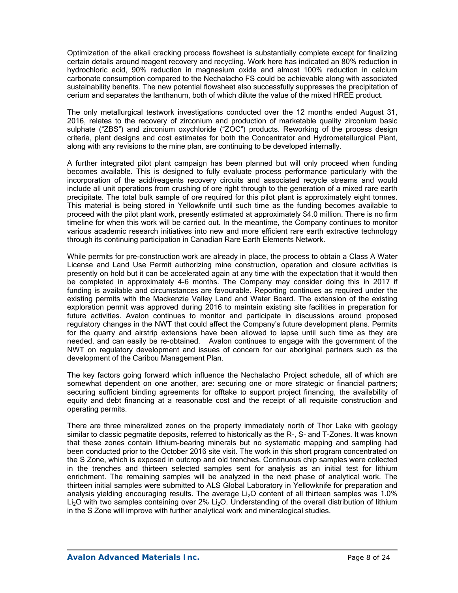Optimization of the alkali cracking process flowsheet is substantially complete except for finalizing certain details around reagent recovery and recycling. Work here has indicated an 80% reduction in hydrochloric acid, 90% reduction in magnesium oxide and almost 100% reduction in calcium carbonate consumption compared to the Nechalacho FS could be achievable along with associated sustainability benefits. The new potential flowsheet also successfully suppresses the precipitation of cerium and separates the lanthanum, both of which dilute the value of the mixed HREE product.

The only metallurgical testwork investigations conducted over the 12 months ended August 31, 2016, relates to the recovery of zirconium and production of marketable quality zirconium basic sulphate ("ZBS") and zirconium oxychloride ("ZOC") products. Reworking of the process design criteria, plant designs and cost estimates for both the Concentrator and Hydrometallurgical Plant, along with any revisions to the mine plan, are continuing to be developed internally.

A further integrated pilot plant campaign has been planned but will only proceed when funding becomes available. This is designed to fully evaluate process performance particularly with the incorporation of the acid/reagents recovery circuits and associated recycle streams and would include all unit operations from crushing of ore right through to the generation of a mixed rare earth precipitate. The total bulk sample of ore required for this pilot plant is approximately eight tonnes. This material is being stored in Yellowknife until such time as the funding becomes available to proceed with the pilot plant work, presently estimated at approximately \$4.0 million. There is no firm timeline for when this work will be carried out. In the meantime, the Company continues to monitor various academic research initiatives into new and more efficient rare earth extractive technology through its continuing participation in Canadian Rare Earth Elements Network.

While permits for pre-construction work are already in place, the process to obtain a Class A Water License and Land Use Permit authorizing mine construction, operation and closure activities is presently on hold but it can be accelerated again at any time with the expectation that it would then be completed in approximately 4-6 months. The Company may consider doing this in 2017 if funding is available and circumstances are favourable. Reporting continues as required under the existing permits with the Mackenzie Valley Land and Water Board. The extension of the existing exploration permit was approved during 2016 to maintain existing site facilities in preparation for future activities. Avalon continues to monitor and participate in discussions around proposed regulatory changes in the NWT that could affect the Company's future development plans. Permits for the quarry and airstrip extensions have been allowed to lapse until such time as they are needed, and can easily be re-obtained. Avalon continues to engage with the government of the NWT on regulatory development and issues of concern for our aboriginal partners such as the development of the Caribou Management Plan.

The key factors going forward which influence the Nechalacho Project schedule, all of which are somewhat dependent on one another, are: securing one or more strategic or financial partners; securing sufficient binding agreements for offtake to support project financing, the availability of equity and debt financing at a reasonable cost and the receipt of all requisite construction and operating permits.

There are three mineralized zones on the property immediately north of Thor Lake with geology similar to classic pegmatite deposits, referred to historically as the R-, S- and T-Zones. It was known that these zones contain lithium-bearing minerals but no systematic mapping and sampling had been conducted prior to the October 2016 site visit. The work in this short program concentrated on the S Zone, which is exposed in outcrop and old trenches. Continuous chip samples were collected in the trenches and thirteen selected samples sent for analysis as an initial test for lithium enrichment. The remaining samples will be analyzed in the next phase of analytical work. The thirteen initial samples were submitted to ALS Global Laboratory in Yellowknife for preparation and analysis yielding encouraging results. The average Li<sub>2</sub>O content of all thirteen samples was 1.0% Li<sub>2</sub>O with two samples containing over 2% Li<sub>2</sub>O. Understanding of the overall distribution of lithium in the S Zone will improve with further analytical work and mineralogical studies.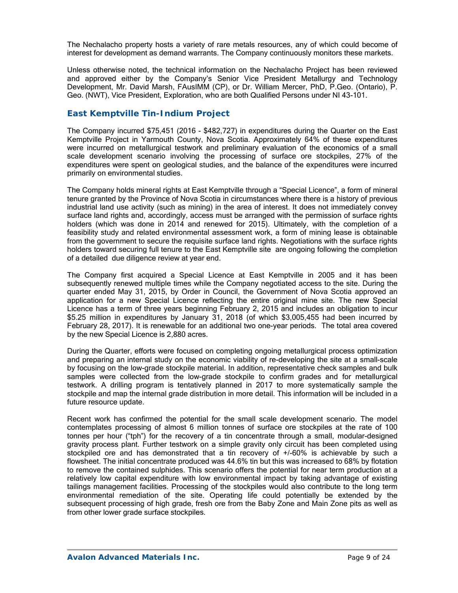The Nechalacho property hosts a variety of rare metals resources, any of which could become of interest for development as demand warrants. The Company continuously monitors these markets.

Unless otherwise noted, the technical information on the Nechalacho Project has been reviewed and approved either by the Company's Senior Vice President Metallurgy and Technology Development, Mr. David Marsh, FAusIMM (CP), or Dr. William Mercer, PhD, P.Geo. (Ontario), P. Geo. (NWT), Vice President, Exploration, who are both Qualified Persons under NI 43-101.

## *East Kemptville Tin-Indium Project*

The Company incurred \$75,451 (2016 - \$482,727) in expenditures during the Quarter on the East Kemptville Project in Yarmouth County, Nova Scotia. Approximately 64% of these expenditures were incurred on metallurgical testwork and preliminary evaluation of the economics of a small scale development scenario involving the processing of surface ore stockpiles, 27% of the expenditures were spent on geological studies, and the balance of the expenditures were incurred primarily on environmental studies.

The Company holds mineral rights at East Kemptville through a "Special Licence", a form of mineral tenure granted by the Province of Nova Scotia in circumstances where there is a history of previous industrial land use activity (such as mining) in the area of interest. It does not immediately convey surface land rights and, accordingly, access must be arranged with the permission of surface rights holders (which was done in 2014 and renewed for 2015). Ultimately, with the completion of a feasibility study and related environmental assessment work, a form of mining lease is obtainable from the government to secure the requisite surface land rights. Negotiations with the surface rights holders toward securing full tenure to the East Kemptville site are ongoing following the completion of a detailed due diligence review at year end.

The Company first acquired a Special Licence at East Kemptville in 2005 and it has been subsequently renewed multiple times while the Company negotiated access to the site. During the quarter ended May 31, 2015, by Order in Council, the Government of Nova Scotia approved an application for a new Special Licence reflecting the entire original mine site. The new Special Licence has a term of three years beginning February 2, 2015 and includes an obligation to incur \$5.25 million in expenditures by January 31, 2018 (of which \$3,005,455 had been incurred by February 28, 2017). It is renewable for an additional two one-year periods. The total area covered by the new Special Licence is 2,880 acres.

During the Quarter, efforts were focused on completing ongoing metallurgical process optimization and preparing an internal study on the economic viability of re-developing the site at a small-scale by focusing on the low-grade stockpile material. In addition, representative check samples and bulk samples were collected from the low-grade stockpile to confirm grades and for metallurgical testwork. A drilling program is tentatively planned in 2017 to more systematically sample the stockpile and map the internal grade distribution in more detail. This information will be included in a future resource update.

Recent work has confirmed the potential for the small scale development scenario. The model contemplates processing of almost 6 million tonnes of surface ore stockpiles at the rate of 100 tonnes per hour ("tph") for the recovery of a tin concentrate through a small, modular-designed gravity process plant. Further testwork on a simple gravity only circuit has been completed using stockpiled ore and has demonstrated that a tin recovery of +/-60% is achievable by such a flowsheet. The initial concentrate produced was 44.6% tin but this was increased to 68% by flotation to remove the contained sulphides. This scenario offers the potential for near term production at a relatively low capital expenditure with low environmental impact by taking advantage of existing tailings management facilities. Processing of the stockpiles would also contribute to the long term environmental remediation of the site. Operating life could potentially be extended by the subsequent processing of high grade, fresh ore from the Baby Zone and Main Zone pits as well as from other lower grade surface stockpiles.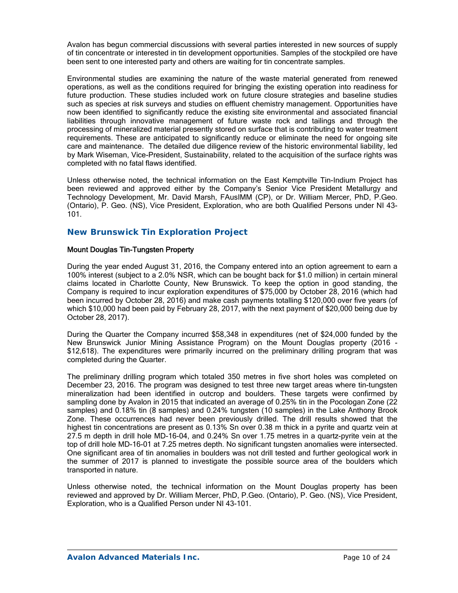Avalon has begun commercial discussions with several parties interested in new sources of supply of tin concentrate or interested in tin development opportunities. Samples of the stockpiled ore have been sent to one interested party and others are waiting for tin concentrate samples.

Environmental studies are examining the nature of the waste material generated from renewed operations, as well as the conditions required for bringing the existing operation into readiness for future production. These studies included work on future closure strategies and baseline studies such as species at risk surveys and studies on effluent chemistry management. Opportunities have now been identified to significantly reduce the existing site environmental and associated financial liabilities through innovative management of future waste rock and tailings and through the processing of mineralized material presently stored on surface that is contributing to water treatment requirements. These are anticipated to significantly reduce or eliminate the need for ongoing site care and maintenance. The detailed due diligence review of the historic environmental liability, led by Mark Wiseman, Vice-President, Sustainability, related to the acquisition of the surface rights was completed with no fatal flaws identified.

Unless otherwise noted, the technical information on the East Kemptville Tin-Indium Project has been reviewed and approved either by the Company's Senior Vice President Metallurgy and Technology Development, Mr. David Marsh, FAusIMM (CP), or Dr. William Mercer, PhD, P.Geo. (Ontario), P. Geo. (NS), Vice President, Exploration, who are both Qualified Persons under NI 43- 101.

## *New Brunswick Tin Exploration Project*

### Mount Douglas Tin-Tungsten Property

During the year ended August 31, 2016, the Company entered into an option agreement to earn a 100% interest (subject to a 2.0% NSR, which can be bought back for \$1.0 million) in certain mineral claims located in Charlotte County, New Brunswick. To keep the option in good standing, the Company is required to incur exploration expenditures of \$75,000 by October 28, 2016 (which had been incurred by October 28, 2016) and make cash payments totalling \$120,000 over five years (of which \$10,000 had been paid by February 28, 2017, with the next payment of \$20,000 being due by October 28, 2017).

During the Quarter the Company incurred \$58,348 in expenditures (net of \$24,000 funded by the New Brunswick Junior Mining Assistance Program) on the Mount Douglas property (2016 - \$12,618). The expenditures were primarily incurred on the preliminary drilling program that was completed during the Quarter.

The preliminary drilling program which totaled 350 metres in five short holes was completed on December 23, 2016. The program was designed to test three new target areas where tin-tungsten mineralization had been identified in outcrop and boulders. These targets were confirmed by sampling done by Avalon in 2015 that indicated an average of 0.25% tin in the Pocologan Zone (22 samples) and 0.18% tin (8 samples) and 0.24% tungsten (10 samples) in the Lake Anthony Brook Zone. These occurrences had never been previously drilled. The drill results showed that the highest tin concentrations are present as 0.13% Sn over 0.38 m thick in a pyrite and quartz vein at 27.5 m depth in drill hole MD-16-04, and 0.24% Sn over 1.75 metres in a quartz-pyrite vein at the top of drill hole MD-16-01 at 7.25 metres depth. No significant tungsten anomalies were intersected. One significant area of tin anomalies in boulders was not drill tested and further geological work in the summer of 2017 is planned to investigate the possible source area of the boulders which transported in nature.

Unless otherwise noted, the technical information on the Mount Douglas property has been reviewed and approved by Dr. William Mercer, PhD, P.Geo. (Ontario), P. Geo. (NS), Vice President, Exploration, who is a Qualified Person under NI 43-101.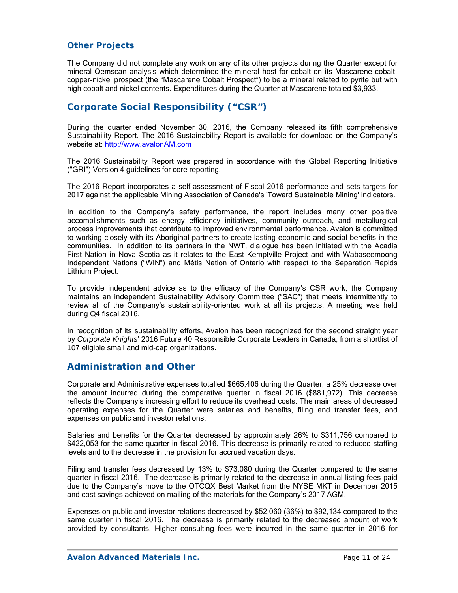## *Other Projects*

The Company did not complete any work on any of its other projects during the Quarter except for mineral Qemscan analysis which determined the mineral host for cobalt on its Mascarene cobaltcopper-nickel prospect (the "Mascarene Cobalt Prospect") to be a mineral related to pyrite but with high cobalt and nickel contents. Expenditures during the Quarter at Mascarene totaled \$3,933.

# **Corporate Social Responsibility ("CSR")**

During the quarter ended November 30, 2016, the Company released its fifth comprehensive Sustainability Report. The 2016 Sustainability Report is available for download on the Company's website at: http://www.avalonAM.com

The 2016 Sustainability Report was prepared in accordance with the Global Reporting Initiative ("GRI") Version 4 guidelines for core reporting.

The 2016 Report incorporates a self-assessment of Fiscal 2016 performance and sets targets for 2017 against the applicable Mining Association of Canada's 'Toward Sustainable Mining' indicators.

In addition to the Company's safety performance, the report includes many other positive accomplishments such as energy efficiency initiatives, community outreach, and metallurgical process improvements that contribute to improved environmental performance. Avalon is committed to working closely with its Aboriginal partners to create lasting economic and social benefits in the communities. In addition to its partners in the NWT, dialogue has been initiated with the Acadia First Nation in Nova Scotia as it relates to the East Kemptville Project and with Wabaseemoong Independent Nations ("WIN") and Métis Nation of Ontario with respect to the Separation Rapids Lithium Project.

To provide independent advice as to the efficacy of the Company's CSR work, the Company maintains an independent Sustainability Advisory Committee ("SAC") that meets intermittently to review all of the Company's sustainability-oriented work at all its projects. A meeting was held during Q4 fiscal 2016.

In recognition of its sustainability efforts, Avalon has been recognized for the second straight year by *Corporate Knights*' 2016 Future 40 Responsible Corporate Leaders in Canada, from a shortlist of 107 eligible small and mid-cap organizations.

## **Administration and Other**

Corporate and Administrative expenses totalled \$665,406 during the Quarter, a 25% decrease over the amount incurred during the comparative quarter in fiscal 2016 (\$881,972). This decrease reflects the Company's increasing effort to reduce its overhead costs. The main areas of decreased operating expenses for the Quarter were salaries and benefits, filing and transfer fees, and expenses on public and investor relations.

Salaries and benefits for the Quarter decreased by approximately 26% to \$311,756 compared to \$422,053 for the same quarter in fiscal 2016. This decrease is primarily related to reduced staffing levels and to the decrease in the provision for accrued vacation days.

Filing and transfer fees decreased by 13% to \$73,080 during the Quarter compared to the same quarter in fiscal 2016. The decrease is primarily related to the decrease in annual listing fees paid due to the Company's move to the OTCQX Best Market from the NYSE MKT in December 2015 and cost savings achieved on mailing of the materials for the Company's 2017 AGM.

Expenses on public and investor relations decreased by \$52,060 (36%) to \$92,134 compared to the same quarter in fiscal 2016. The decrease is primarily related to the decreased amount of work provided by consultants. Higher consulting fees were incurred in the same quarter in 2016 for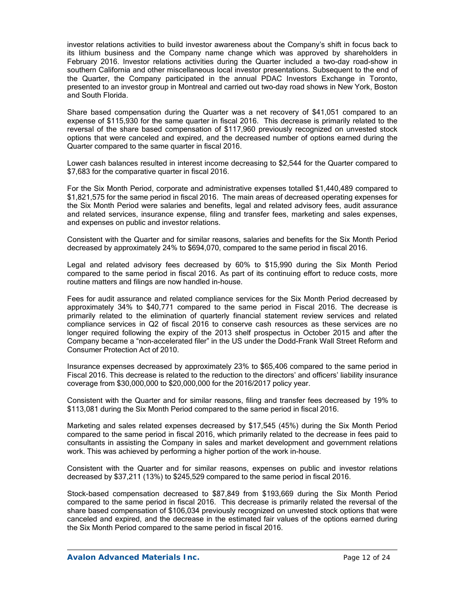investor relations activities to build investor awareness about the Company's shift in focus back to its lithium business and the Company name change which was approved by shareholders in February 2016. Investor relations activities during the Quarter included a two-day road-show in southern California and other miscellaneous local investor presentations. Subsequent to the end of the Quarter, the Company participated in the annual PDAC Investors Exchange in Toronto, presented to an investor group in Montreal and carried out two-day road shows in New York, Boston and South Florida.

Share based compensation during the Quarter was a net recovery of \$41,051 compared to an expense of \$115,930 for the same quarter in fiscal 2016. This decrease is primarily related to the reversal of the share based compensation of \$117,960 previously recognized on unvested stock options that were canceled and expired, and the decreased number of options earned during the Quarter compared to the same quarter in fiscal 2016.

Lower cash balances resulted in interest income decreasing to \$2,544 for the Quarter compared to \$7,683 for the comparative quarter in fiscal 2016.

For the Six Month Period, corporate and administrative expenses totalled \$1,440,489 compared to \$1,821,575 for the same period in fiscal 2016. The main areas of decreased operating expenses for the Six Month Period were salaries and benefits, legal and related advisory fees, audit assurance and related services, insurance expense, filing and transfer fees, marketing and sales expenses, and expenses on public and investor relations.

Consistent with the Quarter and for similar reasons, salaries and benefits for the Six Month Period decreased by approximately 24% to \$694,070, compared to the same period in fiscal 2016.

Legal and related advisory fees decreased by 60% to \$15,990 during the Six Month Period compared to the same period in fiscal 2016. As part of its continuing effort to reduce costs, more routine matters and filings are now handled in-house.

Fees for audit assurance and related compliance services for the Six Month Period decreased by approximately 34% to \$40,771 compared to the same period in Fiscal 2016. The decrease is primarily related to the elimination of quarterly financial statement review services and related compliance services in Q2 of fiscal 2016 to conserve cash resources as these services are no longer required following the expiry of the 2013 shelf prospectus in October 2015 and after the Company became a "non-accelerated filer" in the US under the Dodd-Frank Wall Street Reform and Consumer Protection Act of 2010.

Insurance expenses decreased by approximately 23% to \$65,406 compared to the same period in Fiscal 2016. This decrease is related to the reduction to the directors' and officers' liability insurance coverage from \$30,000,000 to \$20,000,000 for the 2016/2017 policy year.

Consistent with the Quarter and for similar reasons, filing and transfer fees decreased by 19% to \$113,081 during the Six Month Period compared to the same period in fiscal 2016.

Marketing and sales related expenses decreased by \$17,545 (45%) during the Six Month Period compared to the same period in fiscal 2016, which primarily related to the decrease in fees paid to consultants in assisting the Company in sales and market development and government relations work. This was achieved by performing a higher portion of the work in-house.

Consistent with the Quarter and for similar reasons, expenses on public and investor relations decreased by \$37,211 (13%) to \$245,529 compared to the same period in fiscal 2016.

Stock-based compensation decreased to \$87,849 from \$193,669 during the Six Month Period compared to the same period in fiscal 2016. This decrease is primarily related the reversal of the share based compensation of \$106,034 previously recognized on unvested stock options that were canceled and expired, and the decrease in the estimated fair values of the options earned during the Six Month Period compared to the same period in fiscal 2016.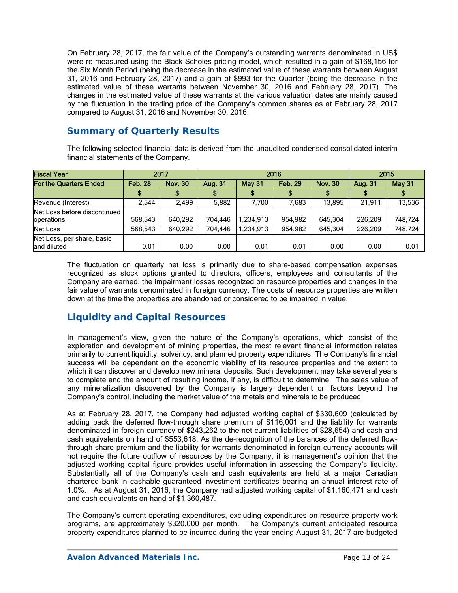On February 28, 2017, the fair value of the Company's outstanding warrants denominated in US\$ were re-measured using the Black-Scholes pricing model, which resulted in a gain of \$168,156 for the Six Month Period (being the decrease in the estimated value of these warrants between August 31, 2016 and February 28, 2017) and a gain of \$993 for the Quarter (being the decrease in the estimated value of these warrants between November 30, 2016 and February 28, 2017). The changes in the estimated value of these warrants at the various valuation dates are mainly caused by the fluctuation in the trading price of the Company's common shares as at February 28, 2017 compared to August 31, 2016 and November 30, 2016.

# **Summary of Quarterly Results**

The following selected financial data is derived from the unaudited condensed consolidated interim financial statements of the Company.

| <b>Fiscal Year</b>                         | 2017           |                |         | 2016          | 2015           |                |         |               |  |
|--------------------------------------------|----------------|----------------|---------|---------------|----------------|----------------|---------|---------------|--|
| For the Quarters Ended                     | <b>Feb. 28</b> | <b>Nov. 30</b> | Aug. 31 | <b>May 31</b> | <b>Feb. 29</b> | <b>Nov. 30</b> | Aug. 31 | <b>May 31</b> |  |
|                                            |                |                |         |               |                |                |         |               |  |
| Revenue (Interest)                         | 2.544          | 2.499          | 5,882   | 7.700         | 7.683          | 13.895         | 21.911  | 13,536        |  |
| Net Loss before discontinued<br>operations | 568,543        | 640,292        | 704.446 | 1,234,913     | 954.982        | 645.304        | 226.209 | 748.724       |  |
| Net Loss                                   | 568.543        | 640.292        | 704.446 | 1,234,913     | 954.982        | 645.304        | 226.209 | 748.724       |  |
| Net Loss, per share, basic<br>land diluted | 0.01           | 0.00           | 0.00    | 0.01          | 0.01           | 0.00           | 0.00    | 0.01          |  |

The fluctuation on quarterly net loss is primarily due to share-based compensation expenses recognized as stock options granted to directors, officers, employees and consultants of the Company are earned, the impairment losses recognized on resource properties and changes in the fair value of warrants denominated in foreign currency. The costs of resource properties are written down at the time the properties are abandoned or considered to be impaired in value.

# **Liquidity and Capital Resources**

In management's view, given the nature of the Company's operations, which consist of the exploration and development of mining properties, the most relevant financial information relates primarily to current liquidity, solvency, and planned property expenditures. The Company's financial success will be dependent on the economic viability of its resource properties and the extent to which it can discover and develop new mineral deposits. Such development may take several years to complete and the amount of resulting income, if any, is difficult to determine. The sales value of any mineralization discovered by the Company is largely dependent on factors beyond the Company's control, including the market value of the metals and minerals to be produced.

As at February 28, 2017, the Company had adjusted working capital of \$330,609 (calculated by adding back the deferred flow-through share premium of \$116,001 and the liability for warrants denominated in foreign currency of \$243,262 to the net current liabilities of \$28,654) and cash and cash equivalents on hand of \$553,618. As the de-recognition of the balances of the deferred flowthrough share premium and the liability for warrants denominated in foreign currency accounts will not require the future outflow of resources by the Company, it is management's opinion that the adjusted working capital figure provides useful information in assessing the Company's liquidity. Substantially all of the Company's cash and cash equivalents are held at a major Canadian chartered bank in cashable guaranteed investment certificates bearing an annual interest rate of 1.0%. As at August 31, 2016, the Company had adjusted working capital of \$1,160,471 and cash and cash equivalents on hand of \$1,360,487.

The Company's current operating expenditures, excluding expenditures on resource property work programs, are approximately \$320,000 per month. The Company's current anticipated resource property expenditures planned to be incurred during the year ending August 31, 2017 are budgeted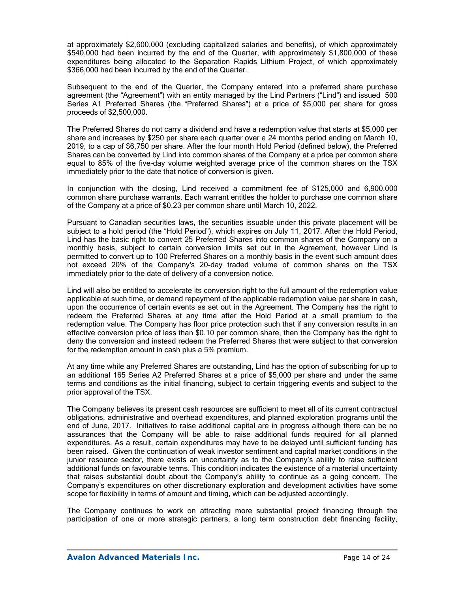at approximately \$2,600,000 (excluding capitalized salaries and benefits), of which approximately \$540,000 had been incurred by the end of the Quarter, with approximately \$1,800,000 of these expenditures being allocated to the Separation Rapids Lithium Project, of which approximately \$366,000 had been incurred by the end of the Quarter.

Subsequent to the end of the Quarter, the Company entered into a preferred share purchase agreement (the "Agreement") with an entity managed by the Lind Partners ("Lind") and issued 500 Series A1 Preferred Shares (the "Preferred Shares") at a price of \$5,000 per share for gross proceeds of \$2,500,000.

The Preferred Shares do not carry a dividend and have a redemption value that starts at \$5,000 per share and increases by \$250 per share each quarter over a 24 months period ending on March 10, 2019, to a cap of \$6,750 per share. After the four month Hold Period (defined below), the Preferred Shares can be converted by Lind into common shares of the Company at a price per common share equal to 85% of the five-day volume weighted average price of the common shares on the TSX immediately prior to the date that notice of conversion is given.

In conjunction with the closing, Lind received a commitment fee of \$125,000 and 6,900,000 common share purchase warrants. Each warrant entitles the holder to purchase one common share of the Company at a price of \$0.23 per common share until March 10, 2022.

Pursuant to Canadian securities laws, the securities issuable under this private placement will be subject to a hold period (the "Hold Period"), which expires on July 11, 2017. After the Hold Period, Lind has the basic right to convert 25 Preferred Shares into common shares of the Company on a monthly basis, subject to certain conversion limits set out in the Agreement, however Lind is permitted to convert up to 100 Preferred Shares on a monthly basis in the event such amount does not exceed 20% of the Company's 20-day traded volume of common shares on the TSX immediately prior to the date of delivery of a conversion notice.

Lind will also be entitled to accelerate its conversion right to the full amount of the redemption value applicable at such time, or demand repayment of the applicable redemption value per share in cash, upon the occurrence of certain events as set out in the Agreement. The Company has the right to redeem the Preferred Shares at any time after the Hold Period at a small premium to the redemption value. The Company has floor price protection such that if any conversion results in an effective conversion price of less than \$0.10 per common share, then the Company has the right to deny the conversion and instead redeem the Preferred Shares that were subject to that conversion for the redemption amount in cash plus a 5% premium.

At any time while any Preferred Shares are outstanding, Lind has the option of subscribing for up to an additional 165 Series A2 Preferred Shares at a price of \$5,000 per share and under the same terms and conditions as the initial financing, subject to certain triggering events and subject to the prior approval of the TSX.

The Company believes its present cash resources are sufficient to meet all of its current contractual obligations, administrative and overhead expenditures, and planned exploration programs until the end of June, 2017. Initiatives to raise additional capital are in progress although there can be no assurances that the Company will be able to raise additional funds required for all planned expenditures. As a result, certain expenditures may have to be delayed until sufficient funding has been raised. Given the continuation of weak investor sentiment and capital market conditions in the junior resource sector, there exists an uncertainty as to the Company's ability to raise sufficient additional funds on favourable terms. This condition indicates the existence of a material uncertainty that raises substantial doubt about the Company's ability to continue as a going concern. The Company's expenditures on other discretionary exploration and development activities have some scope for flexibility in terms of amount and timing, which can be adjusted accordingly.

The Company continues to work on attracting more substantial project financing through the participation of one or more strategic partners, a long term construction debt financing facility,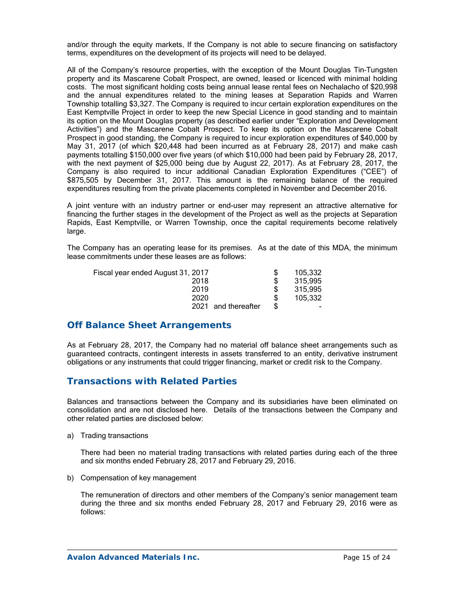and/or through the equity markets. If the Company is not able to secure financing on satisfactory terms, expenditures on the development of its projects will need to be delayed.

All of the Company's resource properties, with the exception of the Mount Douglas Tin–Tungsten property and its Mascarene Cobalt Prospect, are owned, leased or licenced with minimal holding costs. The most significant holding costs being annual lease rental fees on Nechalacho of \$20,998 and the annual expenditures related to the mining leases at Separation Rapids and Warren Township totalling \$3,327. The Company is required to incur certain exploration expenditures on the East Kemptville Project in order to keep the new Special Licence in good standing and to maintain its option on the Mount Douglas property (as described earlier under "Exploration and Development Activities") and the Mascarene Cobalt Prospect. To keep its option on the Mascarene Cobalt Prospect in good standing, the Company is required to incur exploration expenditures of \$40,000 by May 31, 2017 (of which \$20,448 had been incurred as at February 28, 2017) and make cash payments totalling \$150,000 over five years (of which \$10,000 had been paid by February 28, 2017, with the next payment of \$25,000 being due by August 22, 2017). As at February 28, 2017, the Company is also required to incur additional Canadian Exploration Expenditures ("CEE") of \$875,505 by December 31, 2017. This amount is the remaining balance of the required expenditures resulting from the private placements completed in November and December 2016.

A joint venture with an industry partner or end-user may represent an attractive alternative for financing the further stages in the development of the Project as well as the projects at Separation Rapids, East Kemptville, or Warren Township, once the capital requirements become relatively large.

The Company has an operating lease for its premises. As at the date of this MDA, the minimum lease commitments under these leases are as follows:

| Fiscal year ended August 31, 2017 |      |                | 105,332 |
|-----------------------------------|------|----------------|---------|
|                                   | 2018 |                | 315,995 |
|                                   | 2019 |                | 315,995 |
|                                   | 2020 |                | 105,332 |
|                                   | 2021 | and thereafter |         |
|                                   |      |                |         |

## **Off Balance Sheet Arrangements**

As at February 28, 2017, the Company had no material off balance sheet arrangements such as guaranteed contracts, contingent interests in assets transferred to an entity, derivative instrument obligations or any instruments that could trigger financing, market or credit risk to the Company.

## **Transactions with Related Parties**

Balances and transactions between the Company and its subsidiaries have been eliminated on consolidation and are not disclosed here. Details of the transactions between the Company and other related parties are disclosed below:

a) Trading transactions

There had been no material trading transactions with related parties during each of the three and six months ended February 28, 2017 and February 29, 2016.

b) Compensation of key management

The remuneration of directors and other members of the Company's senior management team during the three and six months ended February 28, 2017 and February 29, 2016 were as follows: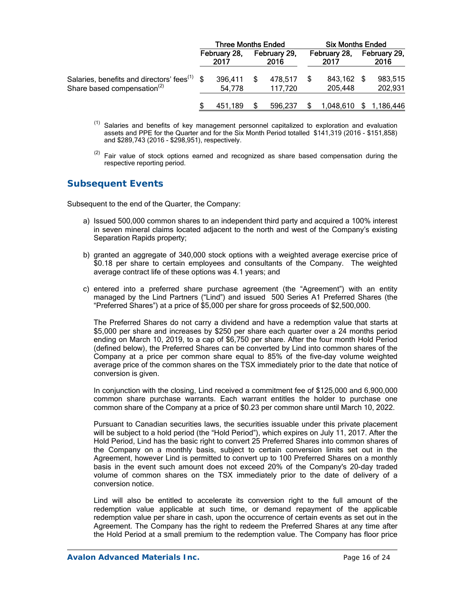|                                                                                                     | <b>Three Months Ended</b> |                      |  |                      | <b>Six Months Ended</b> |                       |  |                      |
|-----------------------------------------------------------------------------------------------------|---------------------------|----------------------|--|----------------------|-------------------------|-----------------------|--|----------------------|
|                                                                                                     |                           | February 28,<br>2017 |  | February 29,<br>2016 |                         | February 28,<br>2017  |  | February 29,<br>2016 |
| Salaries, benefits and directors' fees <sup>(1)</sup> \$<br>Share based compensation <sup>(2)</sup> |                           | 396,411<br>54,778    |  | 478,517<br>117,720   |                         | 843,162 \$<br>205,448 |  | 983,515<br>202,931   |
|                                                                                                     |                           | 451.189              |  | 596,237              |                         | 1,048,610             |  | \$1,186,446          |

- <sup>(1)</sup> Salaries and benefits of key management personnel capitalized to exploration and evaluation assets and PPE for the Quarter and for the Six Month Period totalled \$141,319 (2016 - \$151,858) and \$289,743 (2016 - \$298,951), respectively.
- $(2)$  Fair value of stock options earned and recognized as share based compensation during the respective reporting period.

# **Subsequent Events**

Subsequent to the end of the Quarter, the Company:

- a) Issued 500,000 common shares to an independent third party and acquired a 100% interest in seven mineral claims located adjacent to the north and west of the Company's existing Separation Rapids property;
- b) granted an aggregate of 340,000 stock options with a weighted average exercise price of \$0.18 per share to certain employees and consultants of the Company. The weighted average contract life of these options was 4.1 years; and
- c) entered into a preferred share purchase agreement (the "Agreement") with an entity managed by the Lind Partners ("Lind") and issued 500 Series A1 Preferred Shares (the "Preferred Shares") at a price of \$5,000 per share for gross proceeds of \$2,500,000.

The Preferred Shares do not carry a dividend and have a redemption value that starts at \$5,000 per share and increases by \$250 per share each quarter over a 24 months period ending on March 10, 2019, to a cap of \$6,750 per share. After the four month Hold Period (defined below), the Preferred Shares can be converted by Lind into common shares of the Company at a price per common share equal to 85% of the five-day volume weighted average price of the common shares on the TSX immediately prior to the date that notice of conversion is given.

In conjunction with the closing, Lind received a commitment fee of \$125,000 and 6,900,000 common share purchase warrants. Each warrant entitles the holder to purchase one common share of the Company at a price of \$0.23 per common share until March 10, 2022.

Pursuant to Canadian securities laws, the securities issuable under this private placement will be subject to a hold period (the "Hold Period"), which expires on July 11, 2017. After the Hold Period, Lind has the basic right to convert 25 Preferred Shares into common shares of the Company on a monthly basis, subject to certain conversion limits set out in the Agreement, however Lind is permitted to convert up to 100 Preferred Shares on a monthly basis in the event such amount does not exceed 20% of the Company's 20-day traded volume of common shares on the TSX immediately prior to the date of delivery of a conversion notice.

Lind will also be entitled to accelerate its conversion right to the full amount of the redemption value applicable at such time, or demand repayment of the applicable redemption value per share in cash, upon the occurrence of certain events as set out in the Agreement. The Company has the right to redeem the Preferred Shares at any time after the Hold Period at a small premium to the redemption value. The Company has floor price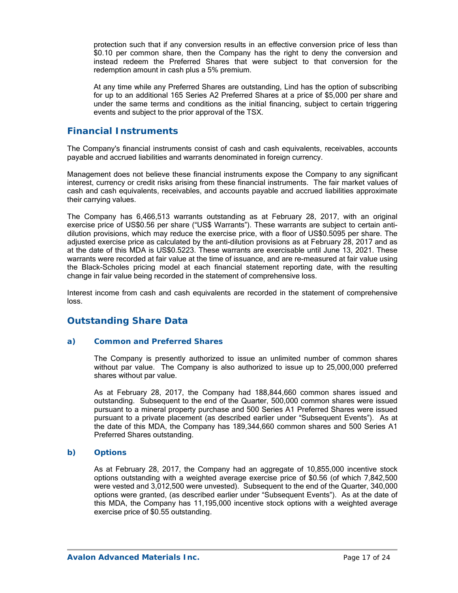protection such that if any conversion results in an effective conversion price of less than \$0.10 per common share, then the Company has the right to deny the conversion and instead redeem the Preferred Shares that were subject to that conversion for the redemption amount in cash plus a 5% premium.

At any time while any Preferred Shares are outstanding, Lind has the option of subscribing for up to an additional 165 Series A2 Preferred Shares at a price of \$5,000 per share and under the same terms and conditions as the initial financing, subject to certain triggering events and subject to the prior approval of the TSX.

# **Financial Instruments**

The Company's financial instruments consist of cash and cash equivalents, receivables, accounts payable and accrued liabilities and warrants denominated in foreign currency.

Management does not believe these financial instruments expose the Company to any significant interest, currency or credit risks arising from these financial instruments. The fair market values of cash and cash equivalents, receivables, and accounts payable and accrued liabilities approximate their carrying values.

The Company has 6,466,513 warrants outstanding as at February 28, 2017, with an original exercise price of US\$0.56 per share ("US\$ Warrants"). These warrants are subject to certain antidilution provisions, which may reduce the exercise price, with a floor of US\$0.5095 per share. The adjusted exercise price as calculated by the anti-dilution provisions as at February 28, 2017 and as at the date of this MDA is US\$0.5223. These warrants are exercisable until June 13, 2021. These warrants were recorded at fair value at the time of issuance, and are re-measured at fair value using the Black-Scholes pricing model at each financial statement reporting date, with the resulting change in fair value being recorded in the statement of comprehensive loss.

Interest income from cash and cash equivalents are recorded in the statement of comprehensive loss.

# **Outstanding Share Data**

### *a) Common and Preferred Shares*

The Company is presently authorized to issue an unlimited number of common shares without par value. The Company is also authorized to issue up to 25,000,000 preferred shares without par value.

As at February 28, 2017, the Company had 188,844,660 common shares issued and outstanding. Subsequent to the end of the Quarter, 500,000 common shares were issued pursuant to a mineral property purchase and 500 Series A1 Preferred Shares were issued pursuant to a private placement (as described earlier under "Subsequent Events"). As at the date of this MDA, the Company has 189,344,660 common shares and 500 Series A1 Preferred Shares outstanding.

### *b) Options*

As at February 28, 2017, the Company had an aggregate of 10,855,000 incentive stock options outstanding with a weighted average exercise price of \$0.56 (of which 7,842,500 were vested and 3,012,500 were unvested). Subsequent to the end of the Quarter, 340,000 options were granted, (as described earlier under "Subsequent Events"). As at the date of this MDA, the Company has 11,195,000 incentive stock options with a weighted average exercise price of \$0.55 outstanding.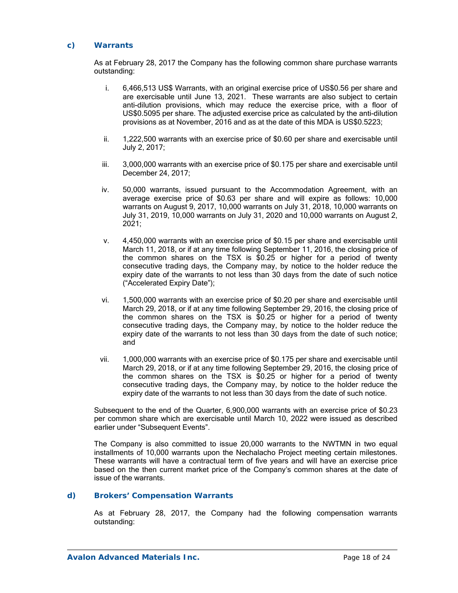### *c) Warrants*

As at February 28, 2017 the Company has the following common share purchase warrants outstanding:

- i. 6,466,513 US\$ Warrants, with an original exercise price of US\$0.56 per share and are exercisable until June 13, 2021. These warrants are also subject to certain anti-dilution provisions, which may reduce the exercise price, with a floor of US\$0.5095 per share. The adjusted exercise price as calculated by the anti-dilution provisions as at November, 2016 and as at the date of this MDA is US\$0.5223;
- ii. 1,222,500 warrants with an exercise price of \$0.60 per share and exercisable until July 2, 2017;
- iii. 3,000,000 warrants with an exercise price of \$0.175 per share and exercisable until December 24, 2017;
- iv. 50,000 warrants, issued pursuant to the Accommodation Agreement, with an average exercise price of \$0.63 per share and will expire as follows: 10,000 warrants on August 9, 2017, 10,000 warrants on July 31, 2018, 10,000 warrants on July 31, 2019, 10,000 warrants on July 31, 2020 and 10,000 warrants on August 2, 2021;
- v. 4,450,000 warrants with an exercise price of \$0.15 per share and exercisable until March 11, 2018, or if at any time following September 11, 2016, the closing price of the common shares on the TSX is  $$0.25$  or higher for a period of twenty consecutive trading days, the Company may, by notice to the holder reduce the expiry date of the warrants to not less than 30 days from the date of such notice ("Accelerated Expiry Date");
- vi. 1,500,000 warrants with an exercise price of \$0.20 per share and exercisable until March 29, 2018, or if at any time following September 29, 2016, the closing price of the common shares on the TSX is \$0.25 or higher for a period of twenty consecutive trading days, the Company may, by notice to the holder reduce the expiry date of the warrants to not less than 30 days from the date of such notice; and
- vii. 1,000,000 warrants with an exercise price of \$0.175 per share and exercisable until March 29, 2018, or if at any time following September 29, 2016, the closing price of the common shares on the TSX is \$0.25 or higher for a period of twenty consecutive trading days, the Company may, by notice to the holder reduce the expiry date of the warrants to not less than 30 days from the date of such notice.

Subsequent to the end of the Quarter, 6,900,000 warrants with an exercise price of \$0.23 per common share which are exercisable until March 10, 2022 were issued as described earlier under "Subsequent Events".

The Company is also committed to issue 20,000 warrants to the NWTMN in two equal installments of 10,000 warrants upon the Nechalacho Project meeting certain milestones. These warrants will have a contractual term of five years and will have an exercise price based on the then current market price of the Company's common shares at the date of issue of the warrants.

### *d) Brokers' Compensation Warrants*

As at February 28, 2017, the Company had the following compensation warrants outstanding: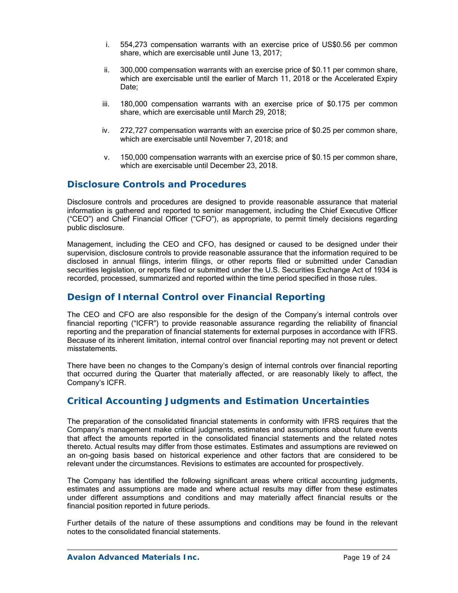- i. 554,273 compensation warrants with an exercise price of US\$0.56 per common share, which are exercisable until June 13, 2017;
- ii. 300,000 compensation warrants with an exercise price of \$0.11 per common share, which are exercisable until the earlier of March 11, 2018 or the Accelerated Expiry Date;
- iii. 180,000 compensation warrants with an exercise price of \$0.175 per common share, which are exercisable until March 29, 2018;
- iv. 272,727 compensation warrants with an exercise price of \$0.25 per common share, which are exercisable until November 7, 2018; and
- v. 150,000 compensation warrants with an exercise price of \$0.15 per common share, which are exercisable until December 23, 2018.

## **Disclosure Controls and Procedures**

Disclosure controls and procedures are designed to provide reasonable assurance that material information is gathered and reported to senior management, including the Chief Executive Officer ("CEO") and Chief Financial Officer ("CFO"), as appropriate, to permit timely decisions regarding public disclosure.

Management, including the CEO and CFO, has designed or caused to be designed under their supervision, disclosure controls to provide reasonable assurance that the information required to be disclosed in annual filings, interim filings, or other reports filed or submitted under Canadian securities legislation, or reports filed or submitted under the U.S. Securities Exchange Act of 1934 is recorded, processed, summarized and reported within the time period specified in those rules.

## **Design of Internal Control over Financial Reporting**

The CEO and CFO are also responsible for the design of the Company's internal controls over financial reporting ("ICFR") to provide reasonable assurance regarding the reliability of financial reporting and the preparation of financial statements for external purposes in accordance with IFRS. Because of its inherent limitation, internal control over financial reporting may not prevent or detect misstatements.

There have been no changes to the Company's design of internal controls over financial reporting that occurred during the Quarter that materially affected, or are reasonably likely to affect, the Company's ICFR.

## **Critical Accounting Judgments and Estimation Uncertainties**

The preparation of the consolidated financial statements in conformity with IFRS requires that the Company's management make critical judgments, estimates and assumptions about future events that affect the amounts reported in the consolidated financial statements and the related notes thereto. Actual results may differ from those estimates. Estimates and assumptions are reviewed on an on-going basis based on historical experience and other factors that are considered to be relevant under the circumstances. Revisions to estimates are accounted for prospectively.

The Company has identified the following significant areas where critical accounting judgments, estimates and assumptions are made and where actual results may differ from these estimates under different assumptions and conditions and may materially affect financial results or the financial position reported in future periods.

Further details of the nature of these assumptions and conditions may be found in the relevant notes to the consolidated financial statements.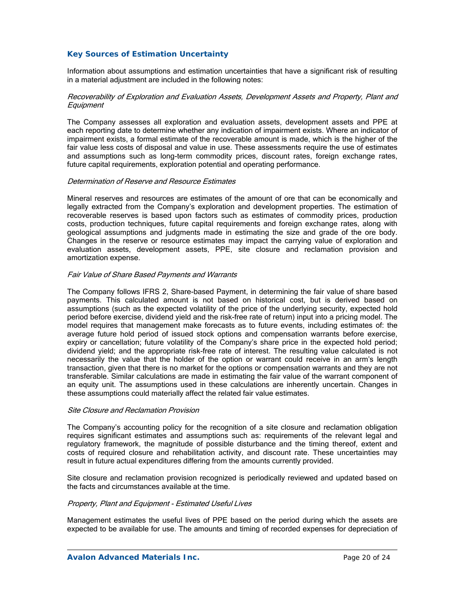### *Key Sources of Estimation Uncertainty*

Information about assumptions and estimation uncertainties that have a significant risk of resulting in a material adjustment are included in the following notes:

#### Recoverability of Exploration and Evaluation Assets, Development Assets and Property, Plant and **Equipment**

The Company assesses all exploration and evaluation assets, development assets and PPE at each reporting date to determine whether any indication of impairment exists. Where an indicator of impairment exists, a formal estimate of the recoverable amount is made, which is the higher of the fair value less costs of disposal and value in use. These assessments require the use of estimates and assumptions such as long-term commodity prices, discount rates, foreign exchange rates, future capital requirements, exploration potential and operating performance.

#### Determination of Reserve and Resource Estimates

Mineral reserves and resources are estimates of the amount of ore that can be economically and legally extracted from the Company's exploration and development properties. The estimation of recoverable reserves is based upon factors such as estimates of commodity prices, production costs, production techniques, future capital requirements and foreign exchange rates, along with geological assumptions and judgments made in estimating the size and grade of the ore body. Changes in the reserve or resource estimates may impact the carrying value of exploration and evaluation assets, development assets, PPE, site closure and reclamation provision and amortization expense.

#### Fair Value of Share Based Payments and Warrants

The Company follows IFRS 2, Share-based Payment, in determining the fair value of share based payments. This calculated amount is not based on historical cost, but is derived based on assumptions (such as the expected volatility of the price of the underlying security, expected hold period before exercise, dividend yield and the risk-free rate of return) input into a pricing model. The model requires that management make forecasts as to future events, including estimates of: the average future hold period of issued stock options and compensation warrants before exercise, expiry or cancellation; future volatility of the Company's share price in the expected hold period; dividend yield; and the appropriate risk-free rate of interest. The resulting value calculated is not necessarily the value that the holder of the option or warrant could receive in an arm's length transaction, given that there is no market for the options or compensation warrants and they are not transferable. Similar calculations are made in estimating the fair value of the warrant component of an equity unit. The assumptions used in these calculations are inherently uncertain. Changes in these assumptions could materially affect the related fair value estimates.

#### Site Closure and Reclamation Provision

The Company's accounting policy for the recognition of a site closure and reclamation obligation requires significant estimates and assumptions such as: requirements of the relevant legal and regulatory framework, the magnitude of possible disturbance and the timing thereof, extent and costs of required closure and rehabilitation activity, and discount rate. These uncertainties may result in future actual expenditures differing from the amounts currently provided.

Site closure and reclamation provision recognized is periodically reviewed and updated based on the facts and circumstances available at the time.

#### Property, Plant and Equipment - Estimated Useful Lives

Management estimates the useful lives of PPE based on the period during which the assets are expected to be available for use. The amounts and timing of recorded expenses for depreciation of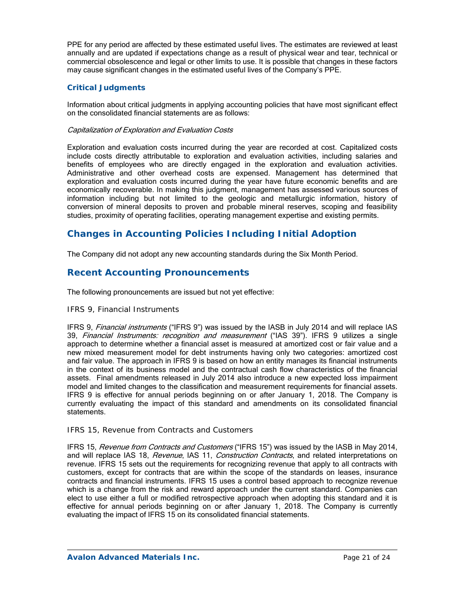PPE for any period are affected by these estimated useful lives. The estimates are reviewed at least annually and are updated if expectations change as a result of physical wear and tear, technical or commercial obsolescence and legal or other limits to use. It is possible that changes in these factors may cause significant changes in the estimated useful lives of the Company's PPE.

### *Critical Judgments*

Information about critical judgments in applying accounting policies that have most significant effect on the consolidated financial statements are as follows:

### Capitalization of Exploration and Evaluation Costs

Exploration and evaluation costs incurred during the year are recorded at cost. Capitalized costs include costs directly attributable to exploration and evaluation activities, including salaries and benefits of employees who are directly engaged in the exploration and evaluation activities. Administrative and other overhead costs are expensed. Management has determined that exploration and evaluation costs incurred during the year have future economic benefits and are economically recoverable. In making this judgment, management has assessed various sources of information including but not limited to the geologic and metallurgic information, history of conversion of mineral deposits to proven and probable mineral reserves, scoping and feasibility studies, proximity of operating facilities, operating management expertise and existing permits.

# **Changes in Accounting Policies Including Initial Adoption**

The Company did not adopt any new accounting standards during the Six Month Period.

## **Recent Accounting Pronouncements**

The following pronouncements are issued but not yet effective:

### *IFRS 9, Financial Instruments*

IFRS 9, *Financial instruments* ("IFRS 9") was issued by the IASB in July 2014 and will replace IAS 39, Financial Instruments: recognition and measurement ("IAS 39"). IFRS 9 utilizes a single approach to determine whether a financial asset is measured at amortized cost or fair value and a new mixed measurement model for debt instruments having only two categories: amortized cost and fair value. The approach in IFRS 9 is based on how an entity manages its financial instruments in the context of its business model and the contractual cash flow characteristics of the financial assets. Final amendments released in July 2014 also introduce a new expected loss impairment model and limited changes to the classification and measurement requirements for financial assets. IFRS 9 is effective for annual periods beginning on or after January 1, 2018. The Company is currently evaluating the impact of this standard and amendments on its consolidated financial statements.

### *IFRS 15, Revenue from Contracts and Customers*

IFRS 15, Revenue from Contracts and Customers ("IFRS 15") was issued by the IASB in May 2014, and will replace IAS 18, Revenue, IAS 11, Construction Contracts, and related interpretations on revenue. IFRS 15 sets out the requirements for recognizing revenue that apply to all contracts with customers, except for contracts that are within the scope of the standards on leases, insurance contracts and financial instruments. IFRS 15 uses a control based approach to recognize revenue which is a change from the risk and reward approach under the current standard. Companies can elect to use either a full or modified retrospective approach when adopting this standard and it is effective for annual periods beginning on or after January 1, 2018. The Company is currently evaluating the impact of IFRS 15 on its consolidated financial statements.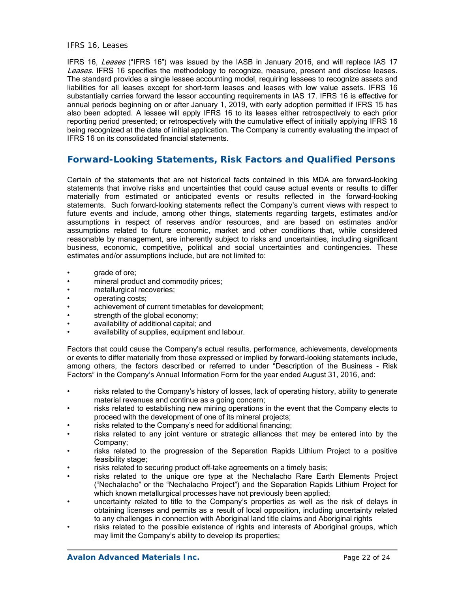#### *IFRS 16, Leases*

IFRS 16, Leases ("IFRS 16") was issued by the IASB in January 2016, and will replace IAS 17 Leases. IFRS 16 specifies the methodology to recognize, measure, present and disclose leases. The standard provides a single lessee accounting model, requiring lessees to recognize assets and liabilities for all leases except for short-term leases and leases with low value assets. IFRS 16 substantially carries forward the lessor accounting requirements in IAS 17. IFRS 16 is effective for annual periods beginning on or after January 1, 2019, with early adoption permitted if IFRS 15 has also been adopted. A lessee will apply IFRS 16 to its leases either retrospectively to each prior reporting period presented; or retrospectively with the cumulative effect of initially applying IFRS 16 being recognized at the date of initial application. The Company is currently evaluating the impact of IFRS 16 on its consolidated financial statements.

## **Forward-Looking Statements, Risk Factors and Qualified Persons**

Certain of the statements that are not historical facts contained in this MDA are forward-looking statements that involve risks and uncertainties that could cause actual events or results to differ materially from estimated or anticipated events or results reflected in the forward-looking statements. Such forward-looking statements reflect the Company's current views with respect to future events and include, among other things, statements regarding targets, estimates and/or assumptions in respect of reserves and/or resources, and are based on estimates and/or assumptions related to future economic, market and other conditions that, while considered reasonable by management, are inherently subject to risks and uncertainties, including significant business, economic, competitive, political and social uncertainties and contingencies. These estimates and/or assumptions include, but are not limited to:

- grade of ore;
- mineral product and commodity prices;
- metallurgical recoveries;
- operating costs;
- achievement of current timetables for development;
- strength of the global economy;
- availability of additional capital; and
- availability of supplies, equipment and labour.

Factors that could cause the Company's actual results, performance, achievements, developments or events to differ materially from those expressed or implied by forward-looking statements include, among others, the factors described or referred to under "Description of the Business - Risk Factors" in the Company's Annual Information Form for the year ended August 31, 2016, and:

- risks related to the Company's history of losses, lack of operating history, ability to generate material revenues and continue as a going concern;
- risks related to establishing new mining operations in the event that the Company elects to proceed with the development of one of its mineral projects;
- risks related to the Company's need for additional financing;
- risks related to any joint venture or strategic alliances that may be entered into by the Company;
- risks related to the progression of the Separation Rapids Lithium Project to a positive feasibility stage;
- risks related to securing product off-take agreements on a timely basis;
- risks related to the unique ore type at the Nechalacho Rare Earth Elements Project ("Nechalacho" or the "Nechalacho Project") and the Separation Rapids Lithium Project for which known metallurgical processes have not previously been applied;
- uncertainty related to title to the Company's properties as well as the risk of delays in obtaining licenses and permits as a result of local opposition, including uncertainty related to any challenges in connection with Aboriginal land title claims and Aboriginal rights
- risks related to the possible existence of rights and interests of Aboriginal groups, which may limit the Company's ability to develop its properties;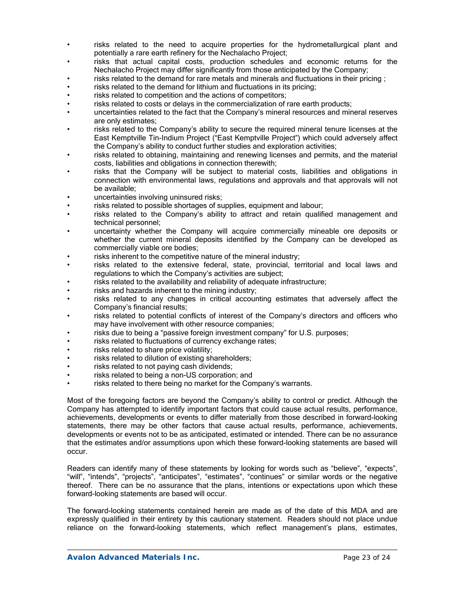- risks related to the need to acquire properties for the hydrometallurgical plant and potentially a rare earth refinery for the Nechalacho Project;
- risks that actual capital costs, production schedules and economic returns for the Nechalacho Project may differ significantly from those anticipated by the Company;
- risks related to the demand for rare metals and minerals and fluctuations in their pricing ;
- risks related to the demand for lithium and fluctuations in its pricing;
- risks related to competition and the actions of competitors;
- risks related to costs or delays in the commercialization of rare earth products;
- uncertainties related to the fact that the Company's mineral resources and mineral reserves are only estimates;
- risks related to the Company's ability to secure the required mineral tenure licenses at the East Kemptville Tin-Indium Project ("East Kemptville Project") which could adversely affect the Company's ability to conduct further studies and exploration activities;
- risks related to obtaining, maintaining and renewing licenses and permits, and the material costs, liabilities and obligations in connection therewith;
- risks that the Company will be subject to material costs, liabilities and obligations in connection with environmental laws, regulations and approvals and that approvals will not be available;
- uncertainties involving uninsured risks;
- risks related to possible shortages of supplies, equipment and labour;
- risks related to the Company's ability to attract and retain qualified management and technical personnel;
- uncertainty whether the Company will acquire commercially mineable ore deposits or whether the current mineral deposits identified by the Company can be developed as commercially viable ore bodies;
- risks inherent to the competitive nature of the mineral industry;
- risks related to the extensive federal, state, provincial, territorial and local laws and regulations to which the Company's activities are subject;
- risks related to the availability and reliability of adequate infrastructure;
- risks and hazards inherent to the mining industry;
- risks related to any changes in critical accounting estimates that adversely affect the Company's financial results;
- risks related to potential conflicts of interest of the Company's directors and officers who may have involvement with other resource companies;
- risks due to being a "passive foreign investment company" for U.S. purposes;
- risks related to fluctuations of currency exchange rates;
- risks related to share price volatility;
- risks related to dilution of existing shareholders;
- risks related to not paying cash dividends;
- risks related to being a non-US corporation; and
- risks related to there being no market for the Company's warrants.

Most of the foregoing factors are beyond the Company's ability to control or predict. Although the Company has attempted to identify important factors that could cause actual results, performance, achievements, developments or events to differ materially from those described in forward-looking statements, there may be other factors that cause actual results, performance, achievements, developments or events not to be as anticipated, estimated or intended. There can be no assurance that the estimates and/or assumptions upon which these forward-looking statements are based will occur.

Readers can identify many of these statements by looking for words such as "believe", "expects", "will", "intends", "projects", "anticipates", "estimates", "continues" or similar words or the negative thereof. There can be no assurance that the plans, intentions or expectations upon which these forward-looking statements are based will occur.

The forward-looking statements contained herein are made as of the date of this MDA and are expressly qualified in their entirety by this cautionary statement. Readers should not place undue reliance on the forward-looking statements, which reflect management's plans, estimates,